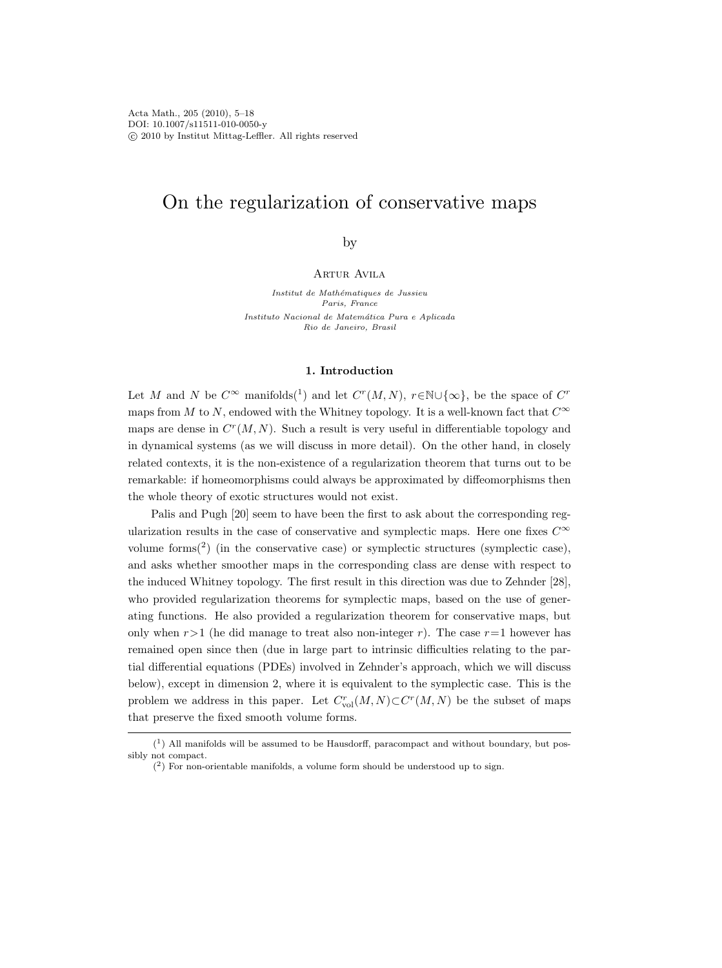# On the regularization of conservative maps

by

## Artur Avila

Institut de Mathématiques de Jussieu Paris, France Instituto Nacional de Matemática Pura e Aplicada Rio de Janeiro, Brasil

## 1. Introduction

Let M and N be  $C^{\infty}$  manifolds(<sup>1</sup>) and let  $C^{r}(M, N)$ ,  $r \in \mathbb{N} \cup \{\infty\}$ , be the space of  $C^{r}$ maps from M to N, endowed with the Whitney topology. It is a well-known fact that  $C^{\infty}$ maps are dense in  $C<sup>r</sup>(M, N)$ . Such a result is very useful in differentiable topology and in dynamical systems (as we will discuss in more detail). On the other hand, in closely related contexts, it is the non-existence of a regularization theorem that turns out to be remarkable: if homeomorphisms could always be approximated by diffeomorphisms then the whole theory of exotic structures would not exist.

Palis and Pugh [20] seem to have been the first to ask about the corresponding regularization results in the case of conservative and symplectic maps. Here one fixes  $C^{\infty}$ volume forms $(2)$  (in the conservative case) or symplectic structures (symplectic case), and asks whether smoother maps in the corresponding class are dense with respect to the induced Whitney topology. The first result in this direction was due to Zehnder [28], who provided regularization theorems for symplectic maps, based on the use of generating functions. He also provided a regularization theorem for conservative maps, but only when  $r>1$  (he did manage to treat also non-integer r). The case  $r=1$  however has remained open since then (due in large part to intrinsic difficulties relating to the partial differential equations (PDEs) involved in Zehnder's approach, which we will discuss below), except in dimension 2, where it is equivalent to the symplectic case. This is the problem we address in this paper. Let  $C_{\text{vol}}^r(M, N) \subset C^r(M, N)$  be the subset of maps that preserve the fixed smooth volume forms.

 $(1)$  All manifolds will be assumed to be Hausdorff, paracompact and without boundary, but possibly not compact.

 $(2)$  For non-orientable manifolds, a volume form should be understood up to sign.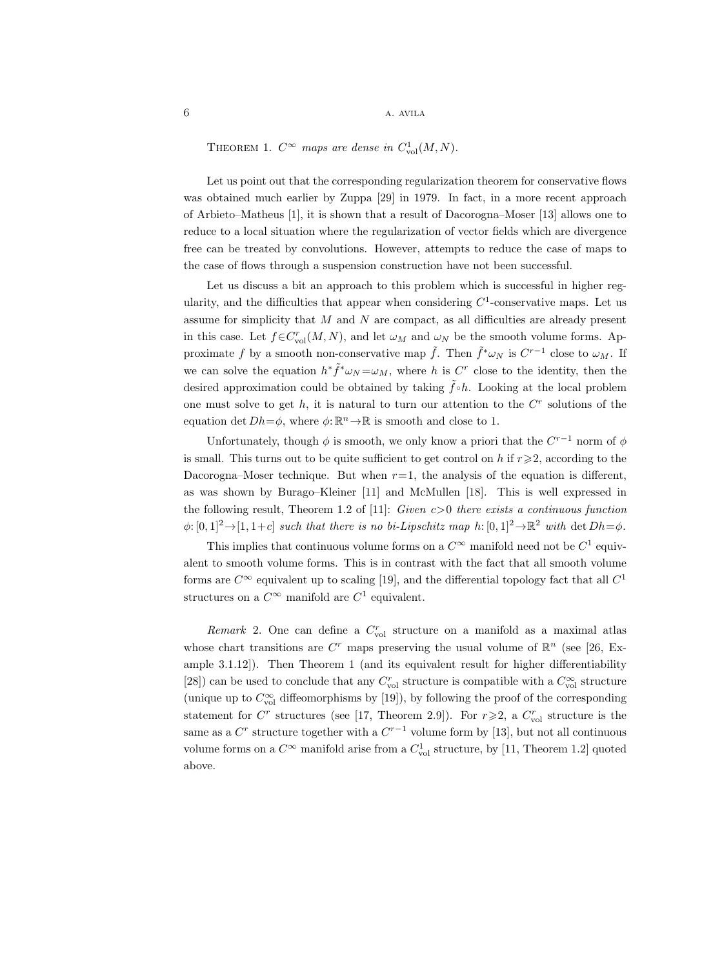THEOREM 1.  $C^{\infty}$  maps are dense in  $C_{\text{vol}}^{1}(M, N)$ .

Let us point out that the corresponding regularization theorem for conservative flows was obtained much earlier by Zuppa [29] in 1979. In fact, in a more recent approach of Arbieto–Matheus [1], it is shown that a result of Dacorogna–Moser [13] allows one to reduce to a local situation where the regularization of vector fields which are divergence free can be treated by convolutions. However, attempts to reduce the case of maps to the case of flows through a suspension construction have not been successful.

Let us discuss a bit an approach to this problem which is successful in higher regularity, and the difficulties that appear when considering  $C^1$ -conservative maps. Let us assume for simplicity that  $M$  and  $N$  are compact, as all difficulties are already present in this case. Let  $f \in C_{\text{vol}}^{r}(M, N)$ , and let  $\omega_M$  and  $\omega_N$  be the smooth volume forms. Approximate f by a smooth non-conservative map  $\tilde{f}$ . Then  $\tilde{f}^* \omega_N$  is  $C^{r-1}$  close to  $\omega_M$ . If we can solve the equation  $h^* \tilde{f}^* \omega_N = \omega_M$ , where h is C<sup>r</sup> close to the identity, then the desired approximation could be obtained by taking  $\hat{f} \circ h$ . Looking at the local problem one must solve to get  $h$ , it is natural to turn our attention to the  $C<sup>r</sup>$  solutions of the equation det  $Dh = \phi$ , where  $\phi: \mathbb{R}^n \to \mathbb{R}$  is smooth and close to 1.

Unfortunately, though  $\phi$  is smooth, we only know a priori that the  $C^{r-1}$  norm of  $\phi$ is small. This turns out to be quite sufficient to get control on h if  $r \geqslant 2$ , according to the Dacorogna–Moser technique. But when  $r=1$ , the analysis of the equation is different, as was shown by Burago–Kleiner [11] and McMullen [18]. This is well expressed in the following result, Theorem 1.2 of [11]: Given  $c>0$  there exists a continuous function  $\phi: [0, 1]^2 \to [1, 1+c]$  such that there is no bi-Lipschitz map  $h: [0, 1]^2 \to \mathbb{R}^2$  with det  $Dh = \phi$ .

This implies that continuous volume forms on a  $C^{\infty}$  manifold need not be  $C^1$  equivalent to smooth volume forms. This is in contrast with the fact that all smooth volume forms are  $C^{\infty}$  equivalent up to scaling [19], and the differential topology fact that all  $C^1$ structures on a  $C^{\infty}$  manifold are  $C^1$  equivalent.

Remark 2. One can define a  $C_{\text{vol}}^r$  structure on a manifold as a maximal atlas whose chart transitions are  $C<sup>r</sup>$  maps preserving the usual volume of  $\mathbb{R}^n$  (see [26, Example 3.1.12]). Then Theorem 1 (and its equivalent result for higher differentiability [28]) can be used to conclude that any  $C_{\text{vol}}^r$  structure is compatible with a  $C_{\text{vol}}^{\infty}$  structure (unique up to  $C_{\text{vol}}^{\infty}$  diffeomorphisms by [19]), by following the proof of the corresponding statement for  $C^r$  structures (see [17, Theorem 2.9]). For  $r \geq 2$ , a  $C^r_{\text{vol}}$  structure is the same as a  $C<sup>r</sup>$  structure together with a  $C<sup>r-1</sup>$  volume form by [13], but not all continuous volume forms on a  $C^{\infty}$  manifold arise from a  $C_{\text{vol}}^{1}$  structure, by [11, Theorem 1.2] quoted above.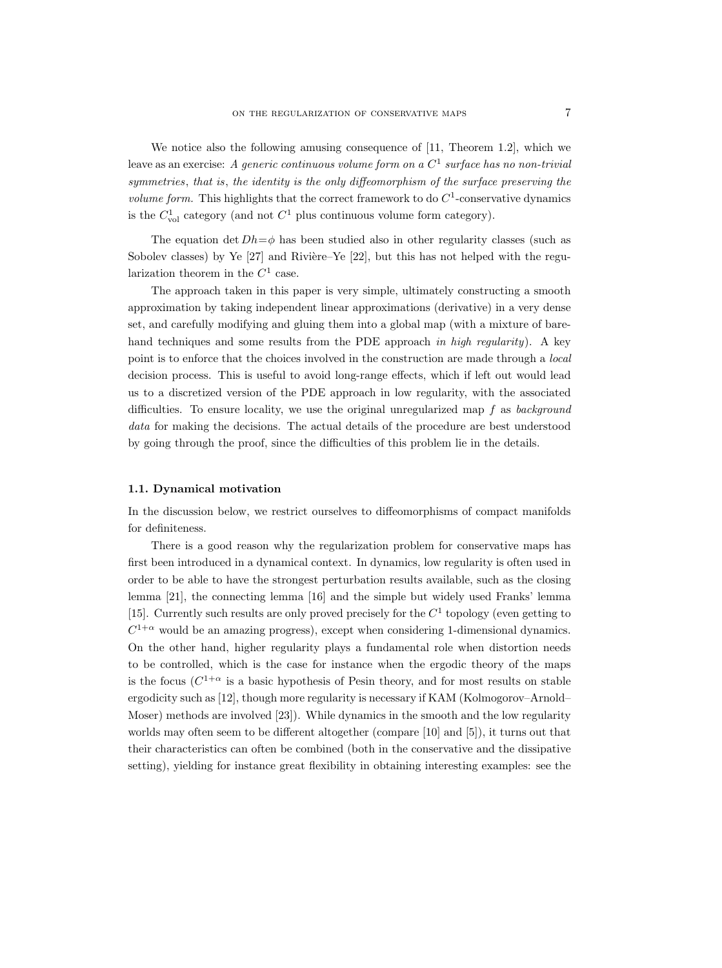We notice also the following amusing consequence of [11, Theorem 1.2], which we leave as an exercise: A generic continuous volume form on a  $C^1$  surface has no non-trivial symmetries, that is, the identity is the only diffeomorphism of the surface preserving the *volume form.* This highlights that the correct framework to do  $C^1$ -conservative dynamics is the  $C_{\text{vol}}^1$  category (and not  $C^1$  plus continuous volume form category).

The equation det  $Dh=\phi$  has been studied also in other regularity classes (such as Sobolev classes) by Ye  $[27]$  and Rivière–Ye  $[22]$ , but this has not helped with the regularization theorem in the  $C<sup>1</sup>$  case.

The approach taken in this paper is very simple, ultimately constructing a smooth approximation by taking independent linear approximations (derivative) in a very dense set, and carefully modifying and gluing them into a global map (with a mixture of barehand techniques and some results from the PDE approach in high regularity). A key point is to enforce that the choices involved in the construction are made through a *local* decision process. This is useful to avoid long-range effects, which if left out would lead us to a discretized version of the PDE approach in low regularity, with the associated difficulties. To ensure locality, we use the original unregularized map  $f$  as background data for making the decisions. The actual details of the procedure are best understood by going through the proof, since the difficulties of this problem lie in the details.

## 1.1. Dynamical motivation

In the discussion below, we restrict ourselves to diffeomorphisms of compact manifolds for definiteness.

There is a good reason why the regularization problem for conservative maps has first been introduced in a dynamical context. In dynamics, low regularity is often used in order to be able to have the strongest perturbation results available, such as the closing lemma [21], the connecting lemma [16] and the simple but widely used Franks' lemma [15]. Currently such results are only proved precisely for the  $C<sup>1</sup>$  topology (even getting to  $C^{1+\alpha}$  would be an amazing progress), except when considering 1-dimensional dynamics. On the other hand, higher regularity plays a fundamental role when distortion needs to be controlled, which is the case for instance when the ergodic theory of the maps is the focus  $(C^{1+\alpha}$  is a basic hypothesis of Pesin theory, and for most results on stable ergodicity such as [12], though more regularity is necessary if KAM (Kolmogorov–Arnold– Moser) methods are involved [23]). While dynamics in the smooth and the low regularity worlds may often seem to be different altogether (compare [10] and [5]), it turns out that their characteristics can often be combined (both in the conservative and the dissipative setting), yielding for instance great flexibility in obtaining interesting examples: see the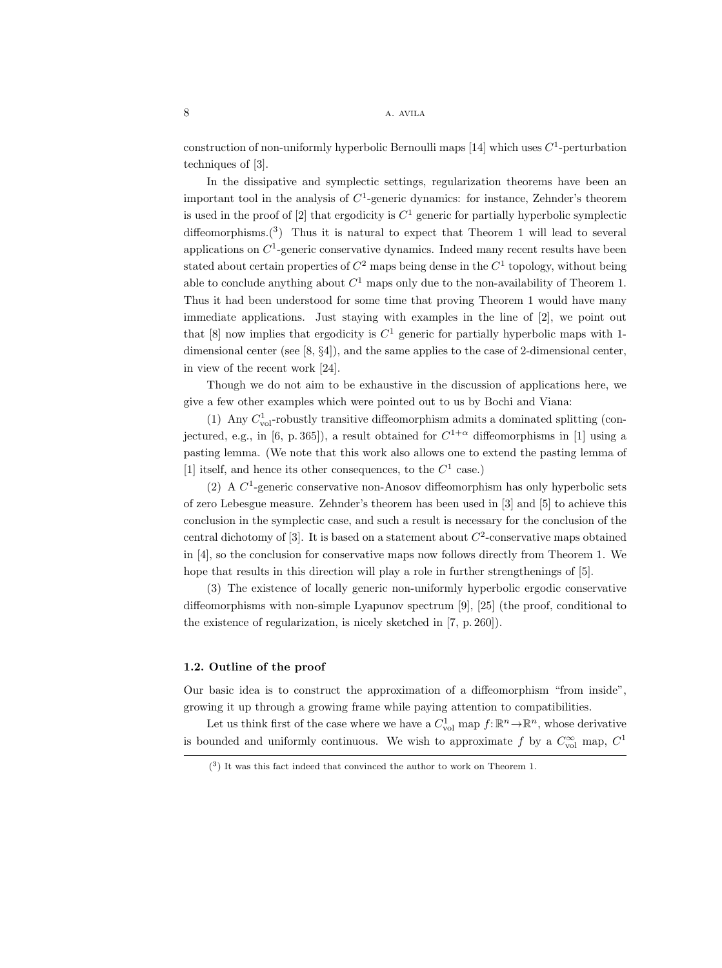construction of non-uniformly hyperbolic Bernoulli maps [14] which uses  $C^1$ -perturbation techniques of [3].

In the dissipative and symplectic settings, regularization theorems have been an important tool in the analysis of  $C<sup>1</sup>$ -generic dynamics: for instance, Zehnder's theorem is used in the proof of [2] that ergodicity is  $C^1$  generic for partially hyperbolic symplectic diffeomorphisms.(<sup>3</sup> ) Thus it is natural to expect that Theorem 1 will lead to several applications on  $C<sup>1</sup>$ -generic conservative dynamics. Indeed many recent results have been stated about certain properties of  $C^2$  maps being dense in the  $C^1$  topology, without being able to conclude anything about  $C^1$  maps only due to the non-availability of Theorem 1. Thus it had been understood for some time that proving Theorem 1 would have many immediate applications. Just staying with examples in the line of [2], we point out that [8] now implies that ergodicity is  $C<sup>1</sup>$  generic for partially hyperbolic maps with 1dimensional center (see  $[8, 84]$ ), and the same applies to the case of 2-dimensional center. in view of the recent work [24].

Though we do not aim to be exhaustive in the discussion of applications here, we give a few other examples which were pointed out to us by Bochi and Viana:

(1) Any  $C_{\text{vol}}^1$ -robustly transitive diffeomorphism admits a dominated splitting (conjectured, e.g., in [6, p. 365]), a result obtained for  $C^{1+\alpha}$  diffeomorphisms in [1] using a pasting lemma. (We note that this work also allows one to extend the pasting lemma of [1] itself, and hence its other consequences, to the  $C^1$  case.)

(2) A  $C<sup>1</sup>$ -generic conservative non-Anosov diffeomorphism has only hyperbolic sets of zero Lebesgue measure. Zehnder's theorem has been used in [3] and [5] to achieve this conclusion in the symplectic case, and such a result is necessary for the conclusion of the central dichotomy of [3]. It is based on a statement about  $C^2$ -conservative maps obtained in [4], so the conclusion for conservative maps now follows directly from Theorem 1. We hope that results in this direction will play a role in further strengthenings of [5].

(3) The existence of locally generic non-uniformly hyperbolic ergodic conservative diffeomorphisms with non-simple Lyapunov spectrum [9], [25] (the proof, conditional to the existence of regularization, is nicely sketched in [7, p. 260]).

## 1.2. Outline of the proof

Our basic idea is to construct the approximation of a diffeomorphism "from inside", growing it up through a growing frame while paying attention to compatibilities.

Let us think first of the case where we have a  $C_{\text{vol}}^1$  map  $f: \mathbb{R}^n \to \mathbb{R}^n$ , whose derivative is bounded and uniformly continuous. We wish to approximate f by a  $C_{\text{vol}}^{\infty}$  map,  $C^1$ 

<sup>(</sup> 3 ) It was this fact indeed that convinced the author to work on Theorem 1.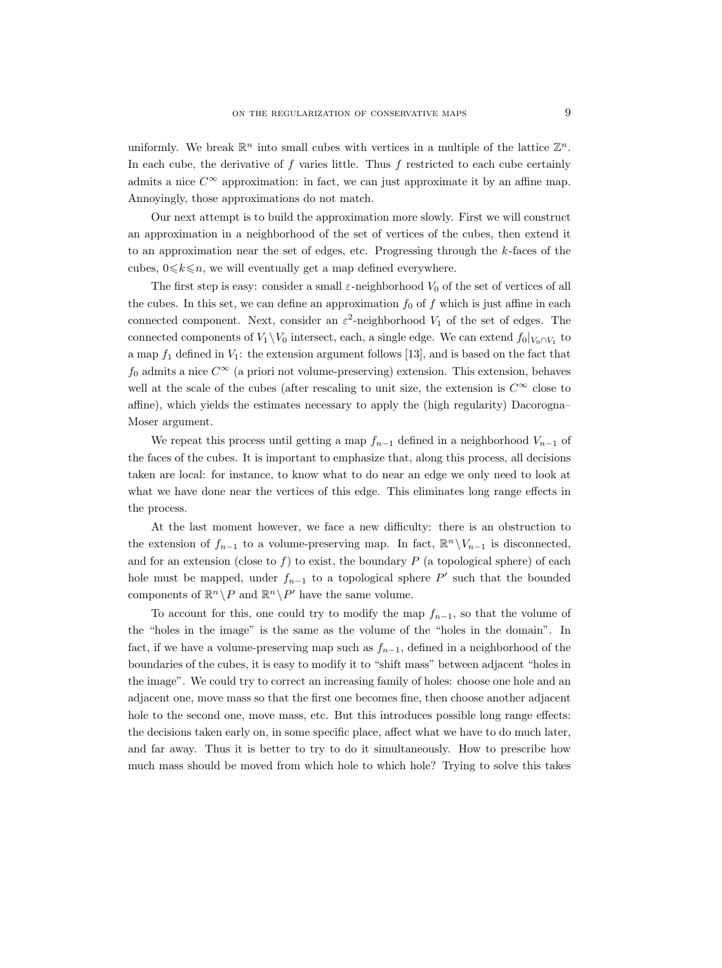uniformly. We break  $\mathbb{R}^n$  into small cubes with vertices in a multiple of the lattice  $\mathbb{Z}^n$ . In each cube, the derivative of  $f$  varies little. Thus  $f$  restricted to each cube certainly admits a nice  $C^{\infty}$  approximation: in fact, we can just approximate it by an affine map. Annoyingly, those approximations do not match.

Our next attempt is to build the approximation more slowly. First we will construct an approximation in a neighborhood of the set of vertices of the cubes, then extend it to an approximation near the set of edges, etc. Progressing through the  $k$ -faces of the cubes,  $0 \le k \le n$ , we will eventually get a map defined everywhere.

The first step is easy: consider a small  $\varepsilon$ -neighborhood  $V_0$  of the set of vertices of all the cubes. In this set, we can define an approximation  $f_0$  of f which is just affine in each connected component. Next, consider an  $\varepsilon^2$ -neighborhood  $V_1$  of the set of edges. The connected components of  $V_1 \backslash V_0$  intersect, each, a single edge. We can extend  $f_0|_{V_0 \cap V_1}$  to a map  $f_1$  defined in  $V_1$ : the extension argument follows [13], and is based on the fact that  $f_0$  admits a nice  $C^{\infty}$  (a priori not volume-preserving) extension. This extension, behaves well at the scale of the cubes (after rescaling to unit size, the extension is  $C^{\infty}$  close to affine), which yields the estimates necessary to apply the (high regularity) Dacorogna– Moser argument.

We repeat this process until getting a map  $f_{n-1}$  defined in a neighborhood  $V_{n-1}$  of the faces of the cubes. It is important to emphasize that, along this process, all decisions taken are local: for instance, to know what to do near an edge we only need to look at what we have done near the vertices of this edge. This eliminates long range effects in the process.

At the last moment however, we face a new difficulty: there is an obstruction to the extension of  $f_{n-1}$  to a volume-preserving map. In fact,  $\mathbb{R}^n \setminus V_{n-1}$  is disconnected, and for an extension (close to f) to exist, the boundary  $P$  (a topological sphere) of each hole must be mapped, under  $f_{n-1}$  to a topological sphere P' such that the bounded components of  $\mathbb{R}^n \backslash P$  and  $\mathbb{R}^n \backslash P'$  have the same volume.

To account for this, one could try to modify the map  $f_{n-1}$ , so that the volume of the "holes in the image" is the same as the volume of the "holes in the domain". In fact, if we have a volume-preserving map such as  $f_{n-1}$ , defined in a neighborhood of the boundaries of the cubes, it is easy to modify it to "shift mass" between adjacent "holes in the image". We could try to correct an increasing family of holes: choose one hole and an adjacent one, move mass so that the first one becomes fine, then choose another adjacent hole to the second one, move mass, etc. But this introduces possible long range effects: the decisions taken early on, in some specific place, affect what we have to do much later, and far away. Thus it is better to try to do it simultaneously. How to prescribe how much mass should be moved from which hole to which hole? Trying to solve this takes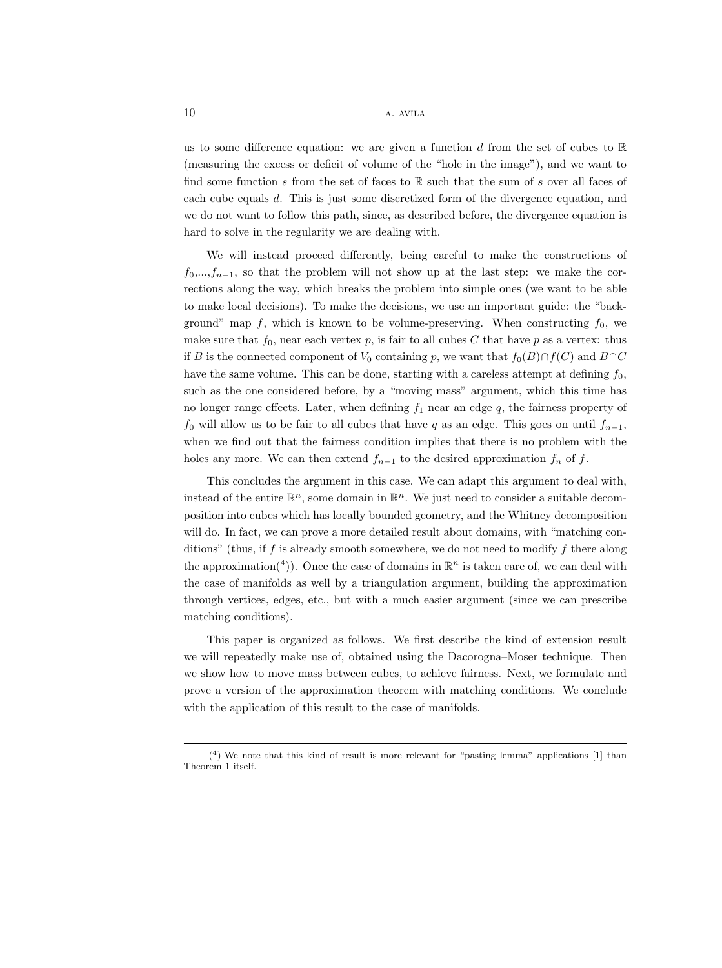us to some difference equation: we are given a function d from the set of cubes to  $\mathbb R$ (measuring the excess or deficit of volume of the "hole in the image"), and we want to find some function s from the set of faces to  $\mathbb R$  such that the sum of s over all faces of each cube equals d. This is just some discretized form of the divergence equation, and we do not want to follow this path, since, as described before, the divergence equation is hard to solve in the regularity we are dealing with.

We will instead proceed differently, being careful to make the constructions of  $f_0, \ldots, f_{n-1}$ , so that the problem will not show up at the last step: we make the corrections along the way, which breaks the problem into simple ones (we want to be able to make local decisions). To make the decisions, we use an important guide: the "background" map f, which is known to be volume-preserving. When constructing  $f_0$ , we make sure that  $f_0$ , near each vertex p, is fair to all cubes C that have p as a vertex: thus if B is the connected component of  $V_0$  containing p, we want that  $f_0(B)\cap f(C)$  and  $B\cap C$ have the same volume. This can be done, starting with a careless attempt at defining  $f_0$ , such as the one considered before, by a "moving mass" argument, which this time has no longer range effects. Later, when defining  $f_1$  near an edge  $q$ , the fairness property of  $f_0$  will allow us to be fair to all cubes that have q as an edge. This goes on until  $f_{n-1}$ , when we find out that the fairness condition implies that there is no problem with the holes any more. We can then extend  $f_{n-1}$  to the desired approximation  $f_n$  of f.

This concludes the argument in this case. We can adapt this argument to deal with, instead of the entire  $\mathbb{R}^n$ , some domain in  $\mathbb{R}^n$ . We just need to consider a suitable decomposition into cubes which has locally bounded geometry, and the Whitney decomposition will do. In fact, we can prove a more detailed result about domains, with "matching conditions" (thus, if  $f$  is already smooth somewhere, we do not need to modify  $f$  there along the approximation<sup>(4</sup>)). Once the case of domains in  $\mathbb{R}^n$  is taken care of, we can deal with the case of manifolds as well by a triangulation argument, building the approximation through vertices, edges, etc., but with a much easier argument (since we can prescribe matching conditions).

This paper is organized as follows. We first describe the kind of extension result we will repeatedly make use of, obtained using the Dacorogna–Moser technique. Then we show how to move mass between cubes, to achieve fairness. Next, we formulate and prove a version of the approximation theorem with matching conditions. We conclude with the application of this result to the case of manifolds.

<sup>(</sup> 4 ) We note that this kind of result is more relevant for "pasting lemma" applications [1] than Theorem 1 itself.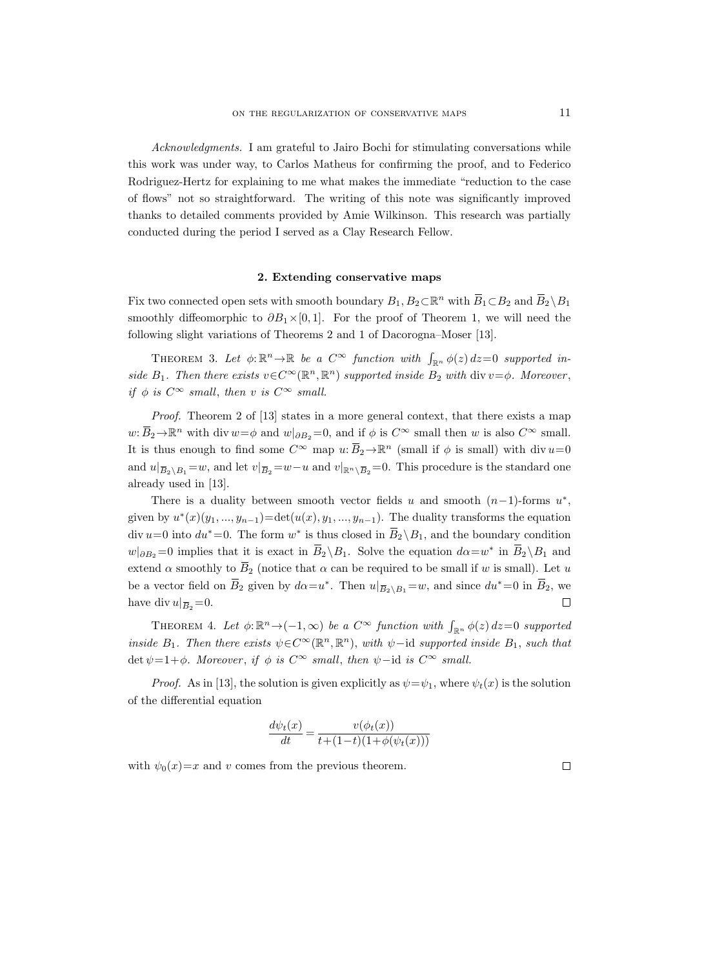Acknowledgments. I am grateful to Jairo Bochi for stimulating conversations while this work was under way, to Carlos Matheus for confirming the proof, and to Federico Rodriguez-Hertz for explaining to me what makes the immediate "reduction to the case of flows" not so straightforward. The writing of this note was significantly improved thanks to detailed comments provided by Amie Wilkinson. This research was partially conducted during the period I served as a Clay Research Fellow.

#### 2. Extending conservative maps

Fix two connected open sets with smooth boundary  $B_1, B_2 \subset \mathbb{R}^n$  with  $\overline{B}_1 \subset B_2$  and  $\overline{B}_2 \setminus B_1$ smoothly diffeomorphic to  $\partial B_1 \times [0,1]$ . For the proof of Theorem 1, we will need the following slight variations of Theorems 2 and 1 of Dacorogna–Moser [13].

THEOREM 3. Let  $\phi: \mathbb{R}^n \to \mathbb{R}$  be a  $C^{\infty}$  function with  $\int_{\mathbb{R}^n} \phi(z) dz = 0$  supported inside  $B_1$ . Then there exists  $v \in C^{\infty}(\mathbb{R}^n, \mathbb{R}^n)$  supported inside  $B_2$  with div  $v = \phi$ . Moreover, if  $\phi$  is  $C^{\infty}$  small, then v is  $C^{\infty}$  small.

Proof. Theorem 2 of [13] states in a more general context, that there exists a map w:  $\overline{B}_2 \to \mathbb{R}^n$  with div  $w = \phi$  and  $w|_{\partial B_2} = 0$ , and if  $\phi$  is  $C^\infty$  small then w is also  $C^\infty$  small. It is thus enough to find some  $C^{\infty}$  map  $u: \overline{B}_2 \to \mathbb{R}^n$  (small if  $\phi$  is small) with div  $u=0$ if  $\phi$  is  $C^{\infty}$  small, then v is  $C^{\infty}$  small.<br>
Proof. Theorem 2 of [13] states in a more general context, that there exists a map<br>  $w: \overline{B}_2 \to \mathbb{R}^n$  with div  $w = \phi$  and  $w|_{\partial B_2} = 0$ , and if  $\phi$  is  $C^{\infty}$  already used in [13].

There is a duality between smooth vector fields u and smooth  $(n-1)$ -forms  $u^*$ , in vector net<br>  $\sum_{n=1}^{\infty}$ ,  $y_{n-1}$ ).<br>
is closed in<br>  $\sum_{n=1}^{\infty}$  Solve<br>
can be requ<br>
Then  $u|_{\overline{B}}$ given by  $u^*(x)(y_1, ..., y_{n-1}) = \det(u(x), y_1, ..., y_{n-1})$ . The duality transforms the equation given by  $u'$ <br>
div  $u=0$  into<br>  $w|_{\partial B_2}=0$  im<br>
extend  $\alpha$  sm<br>
be a vector :<br>
have div  $u|_{\overline{B}}$  $div u=0$  into  $du^*=0$ . The form  $w^*$  is thus closed in  $\overline{B}_2 \backslash B_1$ , and the boundary condition  $w|_{\partial B_2}=0$  implies that it is exact in  $\overline{B}_2 \setminus B_1$ . Solve the equation  $d\alpha = w^*$  in  $\overline{B}_2 \setminus B_1$  and extend  $\alpha$  smoothly to  $\overline{B}_2$  (notice that  $\alpha$  can be required to be small if w is small). Let u be a vector field on  $\overline{B}_2$  given by  $d\alpha = u^*$ . Then  $u|_{\overline{B}_2 \setminus B_1} = w$ , and since  $du^* = 0$  in  $\overline{B}_2$ , we have div  $u|_{\overline{B}_2}=0$ .  $\Box$ 

THEOREM 4. Let  $\phi: \mathbb{R}^n \to (-1, \infty)$  be a  $C^{\infty}$  function with  $\int_{\mathbb{R}^n} \phi(z) dz = 0$  supported inside  $B_1$ . Then there exists  $\psi \in C^{\infty}(\mathbb{R}^n, \mathbb{R}^n)$ , with  $\psi$ -id supported inside  $B_1$ , such that det  $\psi=1+\phi$ . Moreover, if  $\phi$  is  $C^{\infty}$  small, then  $\psi$ -id is  $C^{\infty}$  small.

*Proof.* As in [13], the solution is given explicitly as  $\psi = \psi_1$ , where  $\psi_t(x)$  is the solution of the differential equation

$$
\frac{d\psi_t(x)}{dt} = \frac{v(\phi_t(x))}{t + (1-t)(1 + \phi(\psi_t(x)))}
$$

with  $\psi_0(x)=x$  and v comes from the previous theorem.

 $\Box$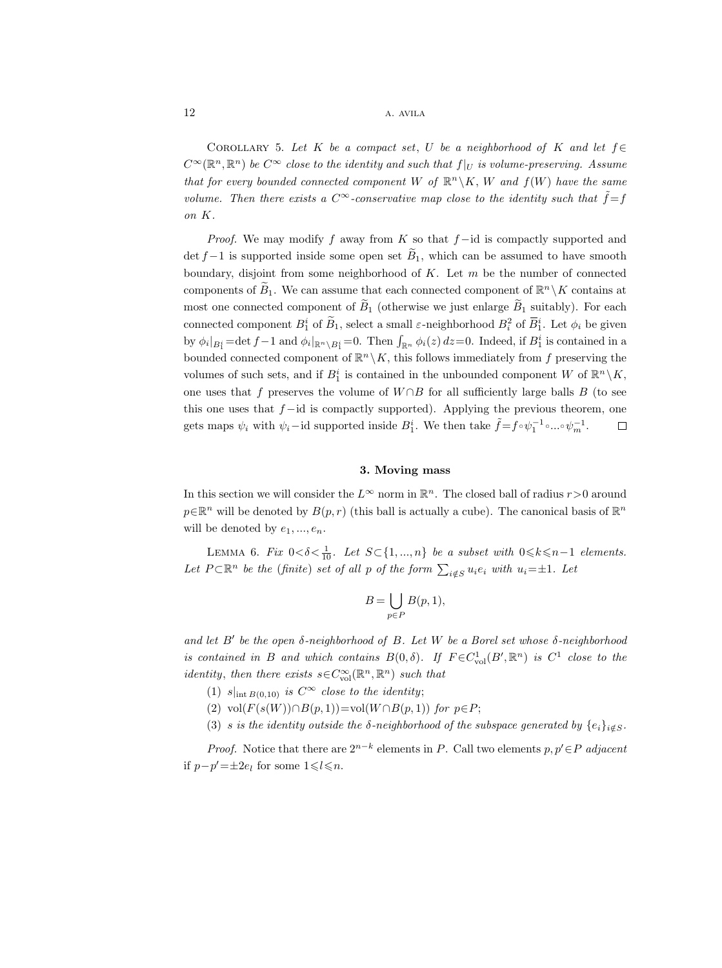COROLLARY 5. Let K be a compact set, U be a neighborhood of K and let  $f \in$  $C^{\infty}(\mathbb{R}^n,\mathbb{R}^n)$  be  $C^{\infty}$  close to the identity and such that  $f|_U$  is volume-preserving. Assume that for every bounded connected component W of  $\mathbb{R}^n \backslash K$ , W and  $f(W)$  have the same volume. Then there exists a  $C^{\infty}$ -conservative map close to the identity such that  $\tilde{f} = f$ on K.

*Proof.* We may modify f away from K so that  $f$  –id is compactly supported and  $\det f - 1$  is supported inside some open set  $\tilde{B}_1$ , which can be assumed to have smooth boundary, disjoint from some neighborhood of  $K$ . Let  $m$  be the number of connected components of  $B_1$ . We can assume that each connected component of  $\mathbb{R}^n \setminus K$  contains at most one connected component of  $\tilde{B}_1$  (otherwise we just enlarge  $\tilde{B}_1$  suitably). For each connected component  $B_1^i$  of  $\widetilde{B}_1$ , select a small  $\varepsilon$ -neighborhood  $B_i^2$  of  $\overline{B}_1^i$ . Let  $\phi_i$  be given by  $\phi_i|_{B_1^i} = \det f - 1$  and  $\phi_i|_{\mathbb{R}^n \setminus B_1^i} = 0$ . Then  $\int_{\mathbb{R}^n} \phi_i(z) dz = 0$ . Indeed, if  $B_1^i$  is contained in a bounded connected component of  $\mathbb{R}^n \setminus K$ , this follows immediately from f preserving the volumes of such sets, and if  $B_1^i$  is contained in the unbounded component W of  $\mathbb{R}^n \setminus K$ , one uses that f preserves the volume of  $W \cap B$  for all sufficiently large balls B (to see this one uses that  $f - id$  is compactly supported). Applying the previous theorem, one gets maps  $\psi_i$  with  $\psi_i$  – id supported inside  $B_1^i$ . We then take  $\tilde{f} = f \circ \psi_1^{-1} \circ ... \circ \psi_m^{-1}$ .  $\Box$ 

#### 3. Moving mass

In this section we will consider the  $L^{\infty}$  norm in  $\mathbb{R}^{n}$ . The closed ball of radius  $r > 0$  around  $p \in \mathbb{R}^n$  will be denoted by  $B(p, r)$  (this ball is actually a cube). The canonical basis of  $\mathbb{R}^n$ will be denoted by  $e_1, ..., e_n$ .

LEMMA 6. Fix  $0 < \delta < \frac{1}{10}$ . Let  $S \subset \{1, ..., n\}$  be a subset with  $0 \le k \le n-1$  elements. Let  $P \subset \mathbb{R}^n$  be the (finite) set of all p of the form  $\sum_{i \notin S} u_i e_i$  with  $u_i = \pm 1$ . Let

$$
B=\bigcup_{p\in P}B(p,1),
$$

and let  $B'$  be the open  $\delta$ -neighborhood of  $B$ . Let W be a Borel set whose  $\delta$ -neighborhood is contained in B and which contains  $B(0, \delta)$ . If  $F \in C^1_{\text{vol}}(B', \mathbb{R}^n)$  is  $C^1$  close to the *identity*, then there exists  $s \in C^{\infty}_{\text{vol}}(\mathbb{R}^n, \mathbb{R}^n)$  such that

- (1)  $s|_{\text{int }B(0,10)}$  is  $C^{\infty}$  close to the identity;
- (2) vol $(F(s(W)) \cap B(p, 1)) =$ vol $(W \cap B(p, 1))$  for  $p \in P$ ;
- (3) s is the identity outside the  $\delta$ -neighborhood of the subspace generated by  $\{e_i\}_{i \notin S}$ .

*Proof.* Notice that there are  $2^{n-k}$  elements in P. Call two elements  $p, p' \in P$  adjacent if  $p-p'=\pm 2e_l$  for some  $1 \leq l \leq n$ .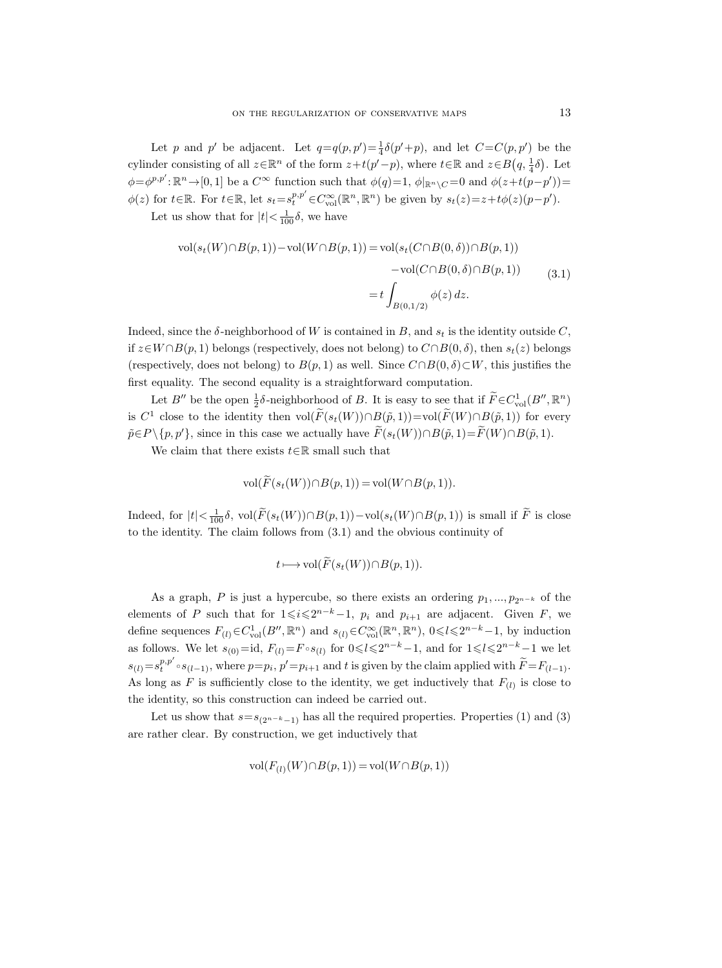Let p and p' be adjacent. Let  $q=q(p,p')=\frac{1}{4}\delta(p'+p)$ , and let  $C=C(p,p')$  be the cylinder consisting of all  $z \in \mathbb{R}^n$  of the form  $z+t(p'-p)$ , where  $t \in \mathbb{R}$  and  $z \in B(q, \frac{1}{4}\delta)$ . Let  $\phi = \phi^{p,p'} : \mathbb{R}^n \to [0,1]$  be a  $C^{\infty}$  function such that  $\phi(q)=1$ ,  $\phi|_{\mathbb{R}^n \setminus C} = 0$  and  $\phi(z+t(p-p'))=$  $\phi(z)$  for  $t \in \mathbb{R}$ . For  $t \in \mathbb{R}$ , let  $s_t = s_t^{p,p'} \in C_{\text{vol}}^{\infty}(\mathbb{R}^n, \mathbb{R}^n)$  be given by  $s_t(z) = z + t\phi(z)(p-p')$ . Let us show that for  $|t| < \frac{1}{100}\delta$ , we have

$$
\text{vol}(s_t(W) \cap B(p, 1)) - \text{vol}(W \cap B(p, 1)) = \text{vol}(s_t(C \cap B(0, \delta)) \cap B(p, 1))
$$

$$
- \text{vol}(C \cap B(0, \delta) \cap B(p, 1))
$$

$$
= t \int_{B(0, 1/2)} \phi(z) dz.
$$
(3.1)

Indeed, since the  $\delta$ -neighborhood of W is contained in B, and  $s_t$  is the identity outside C, if  $z \in W \cap B(p, 1)$  belongs (respectively, does not belong) to  $C \cap B(0, \delta)$ , then  $s_t(z)$  belongs (respectively, does not belong) to  $B(p, 1)$  as well. Since  $C \cap B(0, \delta) \subset W$ , this justifies the first equality. The second equality is a straightforward computation.

Let  $B''$  be the open  $\frac{1}{2}\delta$ -neighborhood of B. It is easy to see that if  $\widetilde{F} \in C^1_{\text{vol}}(B'', \mathbb{R}^n)$ is  $C^1$  close to the identity then  $vol(F(s_t(W)) \cap B(\tilde{p}, 1)) = vol(F(W) \cap B(\tilde{p}, 1))$  for every  $\tilde{p} \in P \setminus \{p, p'\},\$  since in this case we actually have  $\tilde{F}(s_t(W)) \cap B(\tilde{p}, 1) = \tilde{F}(W) \cap B(\tilde{p}, 1).$ 

We claim that there exists  $t \in \mathbb{R}$  small such that

$$
\text{vol}(F(s_t(W)) \cap B(p, 1)) = \text{vol}(W \cap B(p, 1)).
$$

Indeed, for  $|t| < \frac{1}{100}\delta$ , vol $(F(s_t(W)) \cap B(p, 1)) - \text{vol}(s_t(W) \cap B(p, 1))$  is small if F is close to the identity. The claim follows from (3.1) and the obvious continuity of

$$
t \longmapsto \text{vol}(\widetilde{F}(s_t(W)) \cap B(p,1)).
$$

As a graph, P is just a hypercube, so there exists an ordering  $p_1, ..., p_{2n-k}$  of the elements of P such that for  $1 \leq i \leq 2^{n-k}-1$ ,  $p_i$  and  $p_{i+1}$  are adjacent. Given F, we define sequences  $F_{(l)} \in C^1_{\text{vol}}(B'', \mathbb{R}^n)$  and  $s_{(l)} \in C^{\infty}_{\text{vol}}(\mathbb{R}^n, \mathbb{R}^n)$ ,  $0 \le l \le 2^{n-k}-1$ , by induction as follows. We let  $s_{(0)} = id$ ,  $F_{(l)} = F \circ s_{(l)}$  for  $0 \le l \le 2^{n-k}-1$ , and for  $1 \le l \le 2^{n-k}-1$  we let  $s_{(l)} = s_t^{p,p'} \circ s_{(l-1)}$ , where  $p = p_i$ ,  $p' = p_{i+1}$  and t is given by the claim applied with  $\widetilde{F} = F_{(l-1)}$ . As long as F is sufficiently close to the identity, we get inductively that  $F_{(l)}$  is close to the identity, so this construction can indeed be carried out.

Let us show that  $s=s_{(2^{n-k}-1)}$  has all the required properties. Properties (1) and (3) are rather clear. By construction, we get inductively that

$$
\text{vol}(F_{(l)}(W) \cap B(p, 1)) = \text{vol}(W \cap B(p, 1))
$$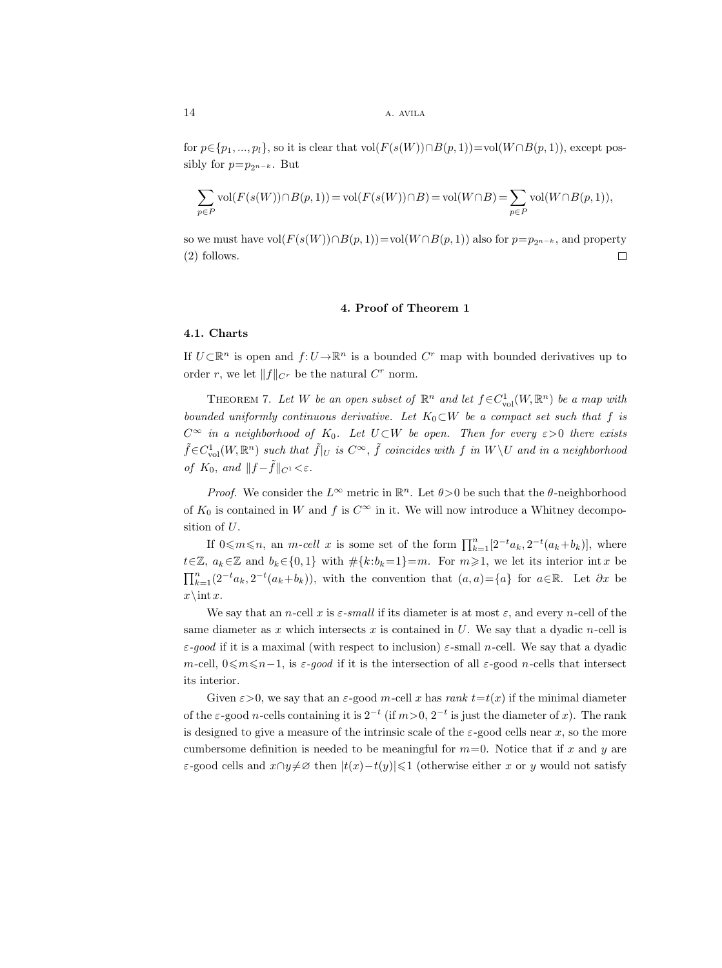for  $p \in \{p_1, ..., p_l\}$ , so it is clear that vol $(F(s(W)) \cap B(p, 1))$ =vol $(W \cap B(p, 1))$ , except possibly for  $p=p_{2n-k}$ . But

$$
\sum_{p\in P} \mathrm{vol}(F(s(W))\cap B(p,1))=\mathrm{vol}(F(s(W))\cap B)=\mathrm{vol}(W\cap B)=\sum_{p\in P} \mathrm{vol}(W\cap B(p,1)),
$$

so we must have vol $(F(s(W)) \cap B(p, 1))$ =vol $(W \cap B(p, 1))$  also for  $p=p_{2n-k}$ , and property (2) follows.  $\Box$ 

#### 4. Proof of Theorem 1

## 4.1. Charts

If  $U\subset\mathbb{R}^n$  is open and  $f:U\to\mathbb{R}^n$  is a bounded  $C^r$  map with bounded derivatives up to order r, we let  $||f||_{C^r}$  be the natural  $C^r$  norm.

THEOREM 7. Let W be an open subset of  $\mathbb{R}^n$  and let  $f \in C^1_{\text{vol}}(W, \mathbb{R}^n)$  be a map with bounded uniformly continuous derivative. Let  $K_0\subset W$  be a compact set such that f is  $C^{\infty}$  in a neighborhood of  $K_0$ . Let  $U\subset W$  be open. Then for every  $\varepsilon>0$  there exists  $\tilde{f} \in C^1_{\text{vol}}(W, \mathbb{R}^n)$  such that  $\tilde{f}|_U$  is  $C^{\infty}$ ,  $\tilde{f}$  coincides with  $f$  in  $W \backslash U$  and in a neighborhood of  $K_0$ , and  $||f - f||_{C^1} < \varepsilon$ .

*Proof.* We consider the  $L^{\infty}$  metric in  $\mathbb{R}^n$ . Let  $\theta > 0$  be such that the  $\theta$ -neighborhood of  $K_0$  is contained in W and f is  $C^{\infty}$  in it. We will now introduce a Whitney decomposition of U.

If  $0 \leq m \leq n$ , an *m-cell* x is some set of the form  $\prod_{k=1}^{n} [2^{-t}a_k, 2^{-t}(a_k+b_k)],$  where  $t\in\mathbb{Z}, a_k\in\mathbb{Z}$  and  $b_k\in\{0,1\}$  with  $\#\{k:b_k=1\}=m$ . For  $m\geqslant1$ , we let its interior int x be  $\prod_{k=1}^{n} (2^{-t}a_k, 2^{-t}(a_k+b_k)),$  with the convention that  $(a, a) = \{a\}$  for  $a \in \mathbb{R}$ . Let  $\partial x$  be  $x\in x$ .

We say that an n-cell x is  $\varepsilon$ -small if its diameter is at most  $\varepsilon$ , and every n-cell of the same diameter as x which intersects x is contained in  $U$ . We say that a dyadic n-cell is  $\varepsilon$ -good if it is a maximal (with respect to inclusion)  $\varepsilon$ -small n-cell. We say that a dyadic m-cell,  $0 \le m \le n-1$ , is  $\varepsilon$ -good if it is the intersection of all  $\varepsilon$ -good n-cells that intersect its interior.

Given  $\varepsilon > 0$ , we say that an  $\varepsilon$ -good m-cell x has rank  $t = t(x)$  if the minimal diameter of the  $\varepsilon$ -good *n*-cells containing it is  $2^{-t}$  (if  $m>0$ ,  $2^{-t}$  is just the diameter of x). The rank is designed to give a measure of the intrinsic scale of the  $\varepsilon$ -good cells near x, so the more cumbersome definition is needed to be meaningful for  $m=0$ . Notice that if x and y are ε-good cells and  $x∩y≠∞$  then  $|t(x)-t(y)|≤1$  (otherwise either x or y would not satisfy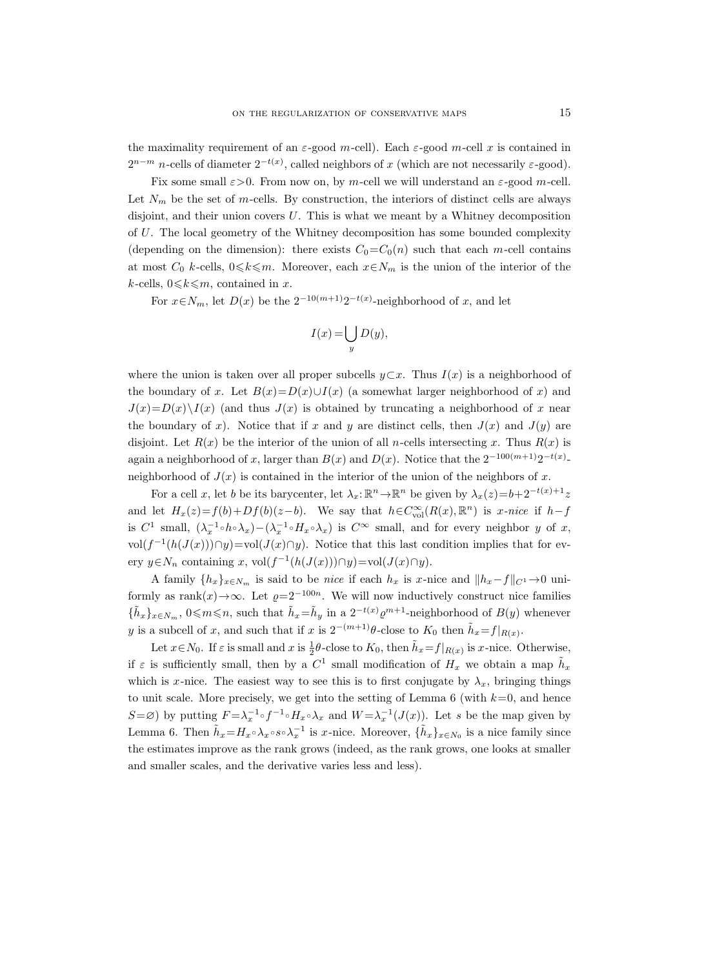the maximality requirement of an  $\varepsilon$ -good m-cell). Each  $\varepsilon$ -good m-cell x is contained in  $2^{n-m}$  n-cells of diameter  $2^{-t(x)}$ , called neighbors of x (which are not necessarily  $\varepsilon$ -good).

Fix some small  $\varepsilon > 0$ . From now on, by m-cell we will understand an  $\varepsilon$ -good m-cell. Let  $N_m$  be the set of m-cells. By construction, the interiors of distinct cells are always disjoint, and their union covers  $U$ . This is what we meant by a Whitney decomposition of U. The local geometry of the Whitney decomposition has some bounded complexity (depending on the dimension): there exists  $C_0=C_0(n)$  such that each m-cell contains at most  $C_0$  k-cells,  $0 \le k \le m$ . Moreover, each  $x \in N_m$  is the union of the interior of the k-cells,  $0 \leq k \leq m$ , contained in x.

For  $x \in N_m$ , let  $D(x)$  be the  $2^{-10(m+1)}2^{-t(x)}$ -neighborhood of x, and let

$$
I(x) = \bigcup_{y} D(y),
$$

where the union is taken over all proper subcells  $y \subset x$ . Thus  $I(x)$  is a neighborhood of the boundary of x. Let  $B(x)=D(x)\cup I(x)$  (a somewhat larger neighborhood of x) and  $J(x)=D(x)\setminus I(x)$  (and thus  $J(x)$  is obtained by truncating a neighborhood of x near the boundary of x). Notice that if x and y are distinct cells, then  $J(x)$  and  $J(y)$  are disjoint. Let  $R(x)$  be the interior of the union of all n-cells intersecting x. Thus  $R(x)$  is again a neighborhood of x, larger than  $B(x)$  and  $D(x)$ . Notice that the  $2^{-100(m+1)}2^{-t(x)}$ neighborhood of  $J(x)$  is contained in the interior of the union of the neighbors of x.

For a cell x, let b be its barycenter, let  $\lambda_x: \mathbb{R}^n \to \mathbb{R}^n$  be given by  $\lambda_x(z) = b + 2^{-t(x)+1}z$ and let  $H_x(z) = f(b) + Df(b)(z - b)$ . We say that  $h \in C_{\text{vol}}^{\infty}(R(x), \mathbb{R}^n)$  is x-nice if  $h - f$ is  $C^1$  small,  $(\lambda_x^{-1} \circ h \circ \lambda_x) - (\lambda_x^{-1} \circ H_x \circ \lambda_x)$  is  $C^\infty$  small, and for every neighbor y of x, vol(f<sup>-1</sup>(h(J(x)))∩y)=vol(J(x)∩y). Notice that this last condition implies that for every  $y \in N_n$  containing x, vol $(f^{-1}(h(J(x))) \cap y) = vol(J(x) \cap y)$ .

A family  $\{h_x\}_{x\in N_m}$  is said to be *nice* if each  $h_x$  is x-nice and  $\|h_x-f\|_{C^1}\to 0$  uniformly as rank $(x) \rightarrow \infty$ . Let  $\varrho = 2^{-100n}$ . We will now inductively construct nice families  $\{\tilde{h}_x\}_{x\in N_m}$ ,  $0 \leq m \leq n$ , such that  $\tilde{h}_x = \tilde{h}_y$  in a  $2^{-t(x)} \varrho^{m+1}$ -neighborhood of  $B(y)$  whenever y is a subcell of x, and such that if x is  $2^{-(m+1)}\theta$ -close to  $K_0$  then  $\tilde{h}_x = f|_{R(x)}$ .

Let  $x \in N_0$ . If  $\varepsilon$  is small and  $x$  is  $\frac{1}{2}\theta$ -close to  $K_0$ , then  $\tilde{h}_x = f|_{R(x)}$  is  $x$ -nice. Otherwise, if  $\varepsilon$  is sufficiently small, then by a  $C^1$  small modification of  $H_x$  we obtain a map  $\tilde{h}_x$ which is x-nice. The easiest way to see this is to first conjugate by  $\lambda_x$ , bringing things to unit scale. More precisely, we get into the setting of Lemma 6 (with  $k=0$ , and hence  $S = \emptyset$ ) by putting  $F = \lambda_x^{-1} \circ f^{-1} \circ H_x \circ \lambda_x$  and  $W = \lambda_x^{-1}(J(x))$ . Let s be the map given by Lemma 6. Then  $\tilde{h}_x = H_x \circ \lambda_x \circ s \circ \lambda_x^{-1}$  is x-nice. Moreover,  $\{\tilde{h}_x\}_{x \in N_0}$  is a nice family since the estimates improve as the rank grows (indeed, as the rank grows, one looks at smaller and smaller scales, and the derivative varies less and less).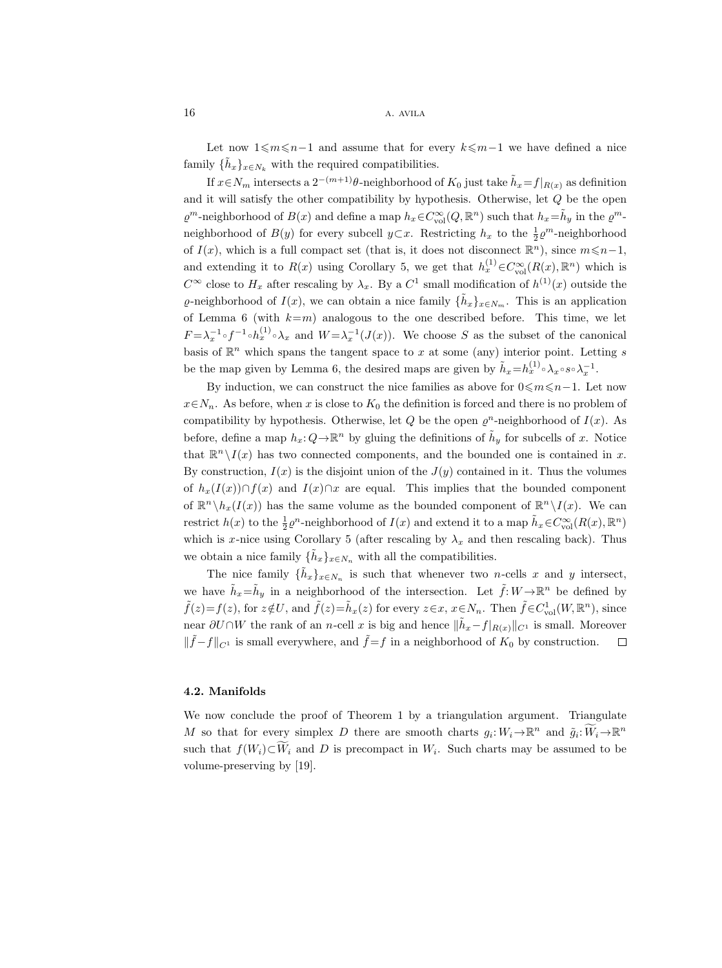Let now  $1\leqslant m\leqslant n-1$  and assume that for every  $k\leqslant m-1$  we have defined a nice family  $\{\tilde{h}_x\}_{x \in N_k}$  with the required compatibilities.

If  $x \in N_m$  intersects a  $2^{-(m+1)}\theta$ -neighborhood of  $K_0$  just take  $\tilde{h}_x = f|_{R(x)}$  as definition and it will satisfy the other compatibility by hypothesis. Otherwise, let Q be the open  $\varrho^m$ -neighborhood of  $B(x)$  and define a map  $h_x \in C^{\infty}_{\text{vol}}(Q, \mathbb{R}^n)$  such that  $h_x = \tilde{h}_y$  in the  $\varrho^m$ neighborhood of  $B(y)$  for every subcell  $y \subset x$ . Restricting  $h_x$  to the  $\frac{1}{2} \varrho^m$ -neighborhood of  $I(x)$ , which is a full compact set (that is, it does not disconnect  $\mathbb{R}^n$ ), since  $m \leq n-1$ , and extending it to  $R(x)$  using Corollary 5, we get that  $h_x^{(1)} \in C_{\text{vol}}^{\infty}(R(x), \mathbb{R}^n)$  which is  $C^{\infty}$  close to  $H_x$  after rescaling by  $\lambda_x$ . By a  $C^1$  small modification of  $h^{(1)}(x)$  outside the  $\varrho$ -neighborhood of  $I(x)$ , we can obtain a nice family  $\{\tilde{h}_x\}_{x \in N_m}$ . This is an application of Lemma 6 (with  $k=m$ ) analogous to the one described before. This time, we let  $F = \lambda_x^{-1} \circ f^{-1} \circ h_x^{(1)} \circ \lambda_x$  and  $W = \lambda_x^{-1}(J(x))$ . We choose S as the subset of the canonical basis of  $\mathbb{R}^n$  which spans the tangent space to x at some (any) interior point. Letting s be the map given by Lemma 6, the desired maps are given by  $\tilde{h}_x=h_x^{(1)} \circ \lambda_x \circ s \circ \lambda_x^{-1}$ .

By induction, we can construct the nice families as above for  $0 \le m \le n-1$ . Let now  $x \in N_n$ . As before, when x is close to  $K_0$  the definition is forced and there is no problem of compatibility by hypothesis. Otherwise, let Q be the open  $\varrho^n$ -neighborhood of  $I(x)$ . As before, define a map  $h_x: Q \to \mathbb{R}^n$  by gluing the definitions of  $\tilde{h}_y$  for subcells of x. Notice that  $\mathbb{R}^n \setminus I(x)$  has two connected components, and the bounded one is contained in x. By construction,  $I(x)$  is the disjoint union of the  $J(y)$  contained in it. Thus the volumes of  $h_x(I(x)) \cap f(x)$  and  $I(x) \cap x$  are equal. This implies that the bounded component of  $\mathbb{R}^n \setminus h_x(I(x))$  has the same volume as the bounded component of  $\mathbb{R}^n \setminus I(x)$ . We can restrict  $h(x)$  to the  $\frac{1}{2}\varrho^{n}$ -neighborhood of  $I(x)$  and extend it to a map  $\tilde{h}_x \in C^{\infty}_{\text{vol}}(R(x), \mathbb{R}^n)$ which is x-nice using Corollary 5 (after rescaling by  $\lambda_x$  and then rescaling back). Thus we obtain a nice family  $\{\tilde{h}_x\}_{x \in N_n}$  with all the compatibilities.

The nice family  $\{\tilde{h}_x\}_{x\in N_n}$  is such that whenever two *n*-cells x and y intersect, we have  $\tilde{h}_x = \tilde{h}_y$  in a neighborhood of the intersection. Let  $\tilde{f}: W \to \mathbb{R}^n$  be defined by  $\tilde{f}(z)=f(z)$ , for  $z \notin U$ , and  $\tilde{f}(z)=\tilde{h}_x(z)$  for every  $z \in x$ ,  $x \in N_n$ . Then  $\tilde{f} \in C^1_{\text{vol}}(W, \mathbb{R}^n)$ , since near  $\partial U \cap W$  the rank of an n-cell x is big and hence  $\|\tilde{h}_x - f|_{R(x)}\|_{C^1}$  is small. Moreover  $\|\tilde{f} - f\|_{C^1}$  is small everywhere, and  $\tilde{f} = f$  in a neighborhood of  $K_0$  by construction.  $\Box$ 

## 4.2. Manifolds

We now conclude the proof of Theorem 1 by a triangulation argument. Triangulate M so that for every simplex D there are smooth charts  $g_i: W_i \to \mathbb{R}^n$  and  $\tilde{g}_i: \widetilde{W}_i \to \mathbb{R}^n$ such that  $f(W_i) \subset W_i$  and D is precompact in  $W_i$ . Such charts may be assumed to be volume-preserving by [19].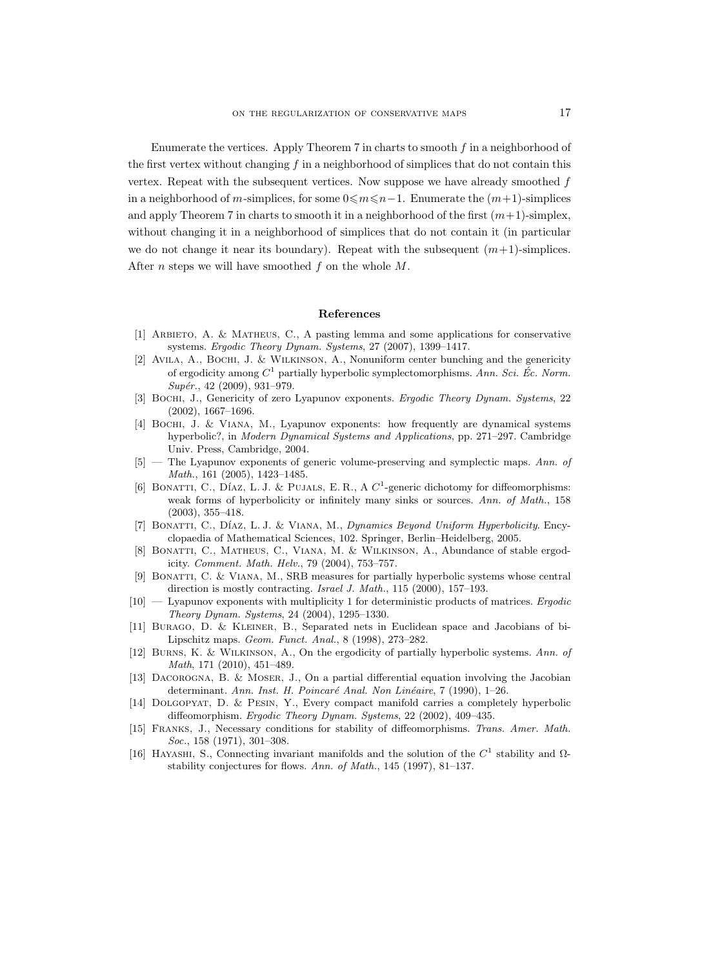Enumerate the vertices. Apply Theorem 7 in charts to smooth f in a neighborhood of the first vertex without changing  $f$  in a neighborhood of simplices that do not contain this vertex. Repeat with the subsequent vertices. Now suppose we have already smoothed  $f$ in a neighborhood of m-simplices, for some  $0 \leq m \leq n-1$ . Enumerate the  $(m+1)$ -simplices and apply Theorem 7 in charts to smooth it in a neighborhood of the first  $(m+1)$ -simplex, without changing it in a neighborhood of simplices that do not contain it (in particular we do not change it near its boundary). Repeat with the subsequent  $(m+1)$ -simplices. After *n* steps we will have smoothed  $f$  on the whole  $M$ .

#### References

- [1] Arbieto, A. & Matheus, C., A pasting lemma and some applications for conservative systems. Ergodic Theory Dynam. Systems, 27 (2007), 1399–1417.
- [2] Avila, A., Bochi, J. & Wilkinson, A., Nonuniform center bunching and the genericity of ergodicity among  $C^1$  partially hyperbolic symplectomorphisms. Ann. Sci. Éc. Norm.  $Supér., 42 (2009), 931-979.$
- [3] BOCHI, J., Genericity of zero Lyapunov exponents. Ergodic Theory Dynam. Systems, 22 (2002), 1667–1696.
- [4] Bochi, J. & Viana, M., Lyapunov exponents: how frequently are dynamical systems hyperbolic?, in Modern Dynamical Systems and Applications, pp. 271–297. Cambridge Univ. Press, Cambridge, 2004.
- [5] The Lyapunov exponents of generic volume-preserving and symplectic maps. Ann. of Math., 161 (2005), 1423–1485.
- [6] BONATTI, C., DÍAZ, L. J. & PUJALS, E. R., A  $C^1$ -generic dichotomy for diffeomorphisms: weak forms of hyperbolicity or infinitely many sinks or sources. Ann. of Math., 158 (2003), 355–418.
- [7] BONATTI, C., DÍAZ, L. J. & VIANA, M., Dynamics Beyond Uniform Hyperbolicity. Encyclopaedia of Mathematical Sciences, 102. Springer, Berlin–Heidelberg, 2005.
- [8] Bonatti, C., Matheus, C., Viana, M. & Wilkinson, A., Abundance of stable ergodicity. Comment. Math. Helv., 79 (2004), 753–757.
- [9] Bonatti, C. & Viana, M., SRB measures for partially hyperbolic systems whose central direction is mostly contracting. Israel J. Math., 115 (2000), 157–193.
- $[10]$  Lyapunov exponents with multiplicity 1 for deterministic products of matrices. Ergodic Theory Dynam. Systems, 24 (2004), 1295–1330.
- [11] Burago, D. & Kleiner, B., Separated nets in Euclidean space and Jacobians of bi-Lipschitz maps. Geom. Funct. Anal., 8 (1998), 273–282.
- [12] Burns, K. & Wilkinson, A., On the ergodicity of partially hyperbolic systems. Ann. of Math, 171 (2010), 451–489.
- [13] Dacorogna, B. & Moser, J., On a partial differential equation involving the Jacobian determinant. Ann. Inst. H. Poincaré Anal. Non Linéaire, 7 (1990), 1–26.
- [14] Dolgopyat, D. & Pesin, Y., Every compact manifold carries a completely hyperbolic diffeomorphism. Ergodic Theory Dynam. Systems, 22 (2002), 409–435.
- [15] Franks, J., Necessary conditions for stability of diffeomorphisms. Trans. Amer. Math. Soc., 158 (1971), 301–308.
- [16] HAYASHI, S., Connecting invariant manifolds and the solution of the  $C^1$  stability and  $\Omega$ stability conjectures for flows. Ann. of Math., 145 (1997), 81–137.